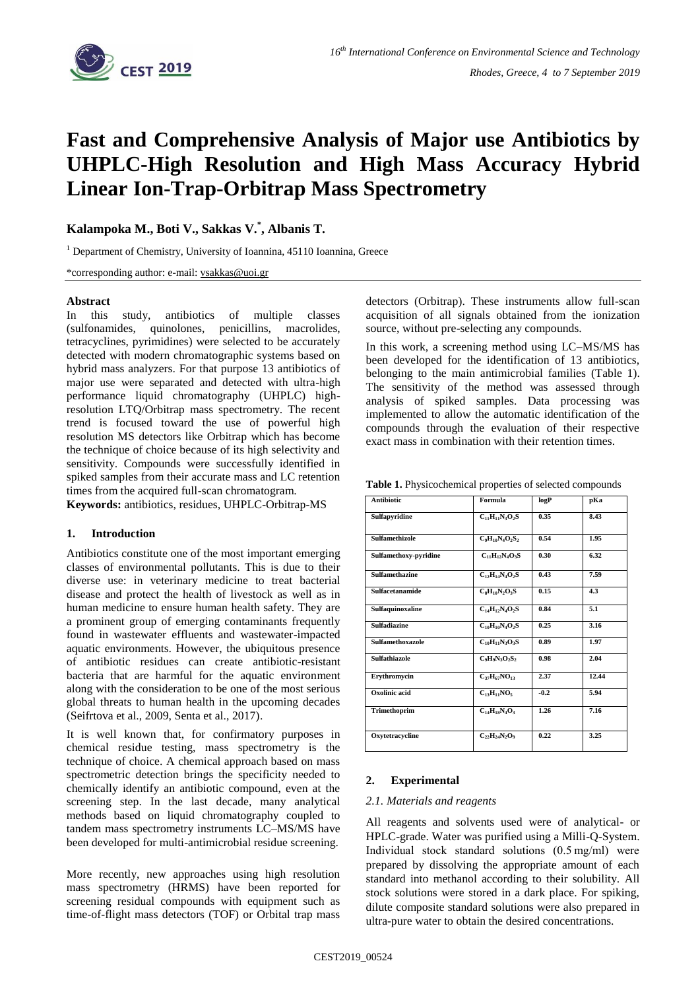

# **Fast and Comprehensive Analysis of Major use Antibiotics by UHPLC-High Resolution and High Mass Accuracy Hybrid Linear Ion-Trap-Orbitrap Mass Spectrometry**

**Kalampoka M., Boti V., Sakkas V.\* , Albanis T.**

<sup>1</sup> Department of Chemistry, University of Ioannina, 45110 Ioannina, Greece

\*corresponding author: e-mail: [vsakkas@uoi.gr](mailto:vsakkas@uoi.gr)

## **Abstract**

In this study, antibiotics of multiple classes (sulfonamides, quinolones, penicillins, macrolides, tetracyclines, pyrimidines) were selected to be accurately detected with modern chromatographic systems based on hybrid mass analyzers. For that purpose 13 antibiotics of major use were separated and detected with ultra-high performance liquid chromatography (UHPLC) highresolution LTQ/Orbitrap mass spectrometry. The recent trend is focused toward the use of powerful high resolution MS detectors like Orbitrap which has become the technique of choice because of its high selectivity and sensitivity. Compounds were successfully identified in spiked samples from their accurate mass and LC retention times from the acquired full-scan chromatogram.

**Keywords:** antibiotics, residues, UHPLC-Orbitrap-MS

## **1. Introduction**

Antibiotics constitute one of the most important emerging classes of environmental pollutants. This is due to their diverse use: in veterinary medicine to treat bacterial disease and protect the health of livestock as well as in human medicine to ensure human health safety. They are a prominent group of emerging contaminants frequently found in wastewater effluents and wastewater-impacted aquatic environments. However, the ubiquitous presence of antibiotic residues can create antibiotic-resistant bacteria that are harmful for the aquatic environment along with the consideration to be one of the most serious global threats to human health in the upcoming decades (Seifrtova et al., 2009, Senta et al., 2017).

It is well known that, for confirmatory purposes in chemical residue testing, mass spectrometry is the technique of choice. A chemical approach based on mass spectrometric detection brings the specificity needed to chemically identify an antibiotic compound, even at the screening step. In the last decade, many analytical methods based on liquid chromatography coupled to tandem mass spectrometry instruments LC–MS/MS have been developed for multi-antimicrobial residue screening.

More recently, new approaches using high resolution mass spectrometry (HRMS) have been reported for screening residual compounds with equipment such as time-of-flight mass detectors (TOF) or Orbital trap mass

detectors (Orbitrap). These instruments allow full-scan acquisition of all signals obtained from the ionization source, without pre-selecting any compounds.

In this work, a screening method using LC–MS/MS has been developed for the identification of 13 antibiotics, belonging to the main antimicrobial families (Table 1). The sensitivity of the method was assessed through analysis of spiked samples. Data processing was implemented to allow the automatic identification of the compounds through the evaluation of their respective exact mass in combination with their retention times.

**Table 1.** Physicochemical properties of selected compounds

| <b>Antibiotic</b>       | Formula                            | logP   | pKa   |
|-------------------------|------------------------------------|--------|-------|
| Sulfapyridine           | $C_{11}H_{11}N_3O_2S$              | 0.35   | 8.43  |
| <b>Sulfamethizole</b>   | $C_9H_{10}N_4O_2S_2$               | 0.54   | 1.95  |
| Sulfamethoxy-pyridine   | $C_{11}H_{12}N_4O_3S$              | 0.30   | 6.32  |
| <b>Sulfamethazine</b>   | $C_1$ <sub>2</sub> $H_{14}N_4O_2S$ | 0.43   | 7.59  |
| <b>Sulfacetanamide</b>  | $C_8H_{10}N_2O_3S$                 | 0.15   | 4.3   |
| Sulfaquinoxaline        | $C_{14}H_{12}N_{4}O_{2}S$          | 0.84   | 5.1   |
| <b>Sulfadiazine</b>     | $C_{10}H_{10}N_4O_2S$              | 0.25   | 3.16  |
| <b>Sulfamethoxazole</b> | $C_{10}H_{11}N_3O_3S$              | 0.89   | 1.97  |
| Sulfathiazole           | $C_9H_9N_3O_2S_2$                  | 0.98   | 2.04  |
| Erythromycin            | $C_{37}H_{67}NO_{13}$              | 2.37   | 12.44 |
| Oxolinic acid           | $C_{13}H_{11}NO_5$                 | $-0.2$ | 5.94  |
| Trimethoprim            | $C_{14}H_{18}N_4O_3$               | 1.26   | 7.16  |
| Oxytetracycline         | $C_{22}H_{24}N_2O_9$               | 0.22   | 3.25  |

## **2. Experimental**

#### *2.1. Materials and reagents*

All reagents and solvents used were of analytical- or HPLC-grade. Water was purified using a Milli-Q-System. Individual stock standard solutions (0.5 mg/ml) were prepared by dissolving the appropriate amount of each standard into methanol according to their solubility. All stock solutions were stored in a dark place. For spiking, dilute composite standard solutions were also prepared in ultra-pure water to obtain the desired concentrations.